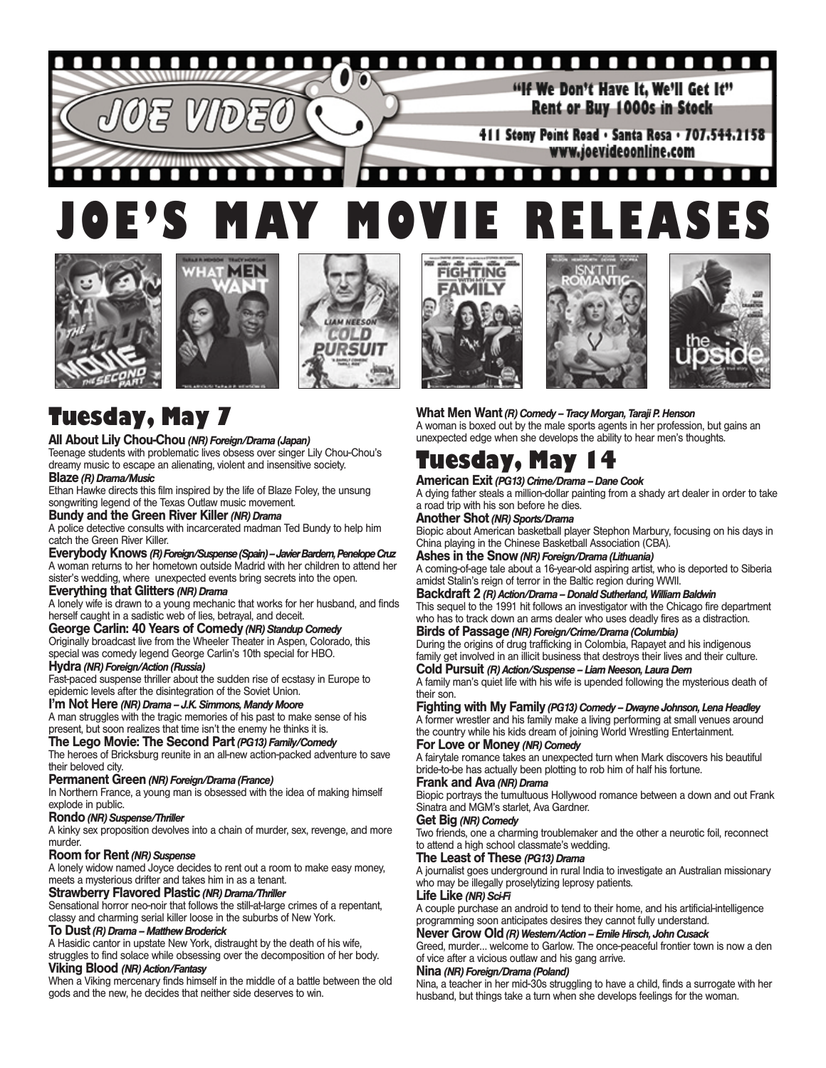#### **DO 14** О

"If We Don't Have It. We'll Get It" Rent or Buy 1000s in Stock

411 Stony Point Road . Santa Rosa . 707.544.2158 www.joevideoonline.com

#### п  $\blacksquare$ п п n п **JOE'S MAY MOVIE RELEASES**













# **Tuesday, May 7**

# **All About Lily Chou-Chou** *(NR) Foreign/Drama (Japan)*

Teenage students with problematic lives obsess over singer Lily Chou-Chou's dreamy music to escape an alienating, violent and insensitive society.

### **Blaze** *(R) Drama/Music*

Ethan Hawke directs this film inspired by the life of Blaze Foley, the unsung songwriting legend of the Texas Outlaw music movement.

#### **Bundy and the Green River Killer***(NR) Drama*

A police detective consults with incarcerated madman Ted Bundy to help him catch the Green River Killer.

# **Everybody Knows** *(R) Foreign/Suspense (Spain) – Javier Bardem, Penelope Cruz* A woman returns to her hometown outside Madrid with her children to attend her

sister's wedding, where unexpected events bring secrets into the open.

# **Everything that Glitters** *(NR) Drama*

A lonely wife is drawn to a young mechanic that works for her husband, and finds herself caught in a sadistic web of lies, betrayal, and deceit.

# **George Carlin: 40 Years of Comedy** *(NR) Standup Comedy*

Originally broadcast live from the Wheeler Theater in Aspen, Colorado, this special was comedy legend George Carlin's 10th special for HBO. **Hydra** *(NR) Foreign/Action (Russia)*

Fast-paced suspense thriller about the sudden rise of ecstasy in Europe to epidemic levels after the disintegration of the Soviet Union.

# **I'm Not Here** *(NR) Drama – J.K. Simmons, Mandy Moore*

A man struggles with the tragic memories of his past to make sense of his present, but soon realizes that time isn't the enemy he thinks it is.

### **The Lego Movie: The Second Part** *(PG13) Family/Comedy*

The heroes of Bricksburg reunite in an all-new action-packed adventure to save their beloved city.

#### **Permanent Green** *(NR) Foreign/Drama (France)*

In Northern France, a young man is obsessed with the idea of making himself explode in public.

#### **Rondo** *(NR) Suspense/Thriller*

A kinky sex proposition devolves into a chain of murder, sex, revenge, and more murder.

#### **Room for Rent** *(NR) Suspense*

A lonely widow named Joyce decides to rent out a room to make easy money, meets a mysterious drifter and takes him in as a tenant.

#### **Strawberry Flavored Plastic** *(NR) Drama/Thriller*

Sensational horror neo-noir that follows the still-at-large crimes of a repentant, classy and charming serial killer loose in the suburbs of New York.

### **To Dust** *(R) Drama – Matthew Broderick*

A Hasidic cantor in upstate New York, distraught by the death of his wife, struggles to find solace while obsessing over the decomposition of her body.

# **Viking Blood** *(NR) Action/Fantasy*

When a Viking mercenary finds himself in the middle of a battle between the old gods and the new, he decides that neither side deserves to win.

# **What Men Want** *(R) Comedy – Tracy Morgan, Taraji P. Henson*

A woman is boxed out by the male sports agents in her profession, but gains an unexpected edge when she develops the ability to hear men's thoughts.

# **Tuesday, May 14**

# **American Exit** *(PG13) Crime/Drama – Dane Cook*

A dying father steals a million-dollar painting from a shady art dealer in order to take a road trip with his son before he dies.

**Another Shot** *(NR) Sports/Drama*

Biopic about American basketball player Stephon Marbury, focusing on his days in China playing in the Chinese Basketball Association (CBA).

# **Ashes in the Snow** *(NR) Foreign/Drama (Lithuania)*

A coming-of-age tale about a 16-year-old aspiring artist, who is deported to Siberia amidst Stalin's reign of terror in the Baltic region during WWII.

## **Backdraft 2** *(R) Action/Drama – Donald Sutherland, William Baldwin*

This sequel to the 1991 hit follows an investigator with the Chicago fire department who has to track down an arms dealer who uses deadly fires as a distraction.

# **Birds of Passage** *(NR) Foreign/Crime/Drama (Columbia)*

During the origins of drug trafficking in Colombia, Rapayet and his indigenous family get involved in an illicit business that destroys their lives and their culture. **Cold Pursuit** *(R) Action/Suspense – Liam Neeson, Laura Dern*

A family man's quiet life with his wife is upended following the mysterious death of their son.

# **Fighting with My Family** *(PG13) Comedy – Dwayne Johnson, Lena Headley*

A former wrestler and his family make a living performing at small venues around the country while his kids dream of joining World Wrestling Entertainment.

# **For Love or Money** *(NR) Comedy*

A fairytale romance takes an unexpected turn when Mark discovers his beautiful bride-to-be has actually been plotting to rob him of half his fortune.

#### **Frank and Ava** *(NR) Drama*

Biopic portrays the tumultuous Hollywood romance between a down and out Frank Sinatra and MGM's starlet, Ava Gardner.

### **Get Big** *(NR) Comedy*

Two friends, one a charming troublemaker and the other a neurotic foil, reconnect to attend a high school classmate's wedding.

#### **The Least of These** *(PG13) Drama*

A journalist goes underground in rural India to investigate an Australian missionary who may be illegally proselytizing leprosy patients.

#### **Life Like** *(NR) Sci-Fi*

A couple purchase an android to tend to their home, and his artificial-intelligence programming soon anticipates desires they cannot fully understand.

# **Never Grow Old** *(R) Western/Action – Emile Hirsch, John Cusack*

Greed, murder… welcome to Garlow. The once-peaceful frontier town is now a den of vice after a vicious outlaw and his gang arrive.

#### **Nina** *(NR) Foreign/Drama (Poland)*

Nina, a teacher in her mid-30s struggling to have a child, finds a surrogate with her husband, but things take a turn when she develops feelings for the woman.